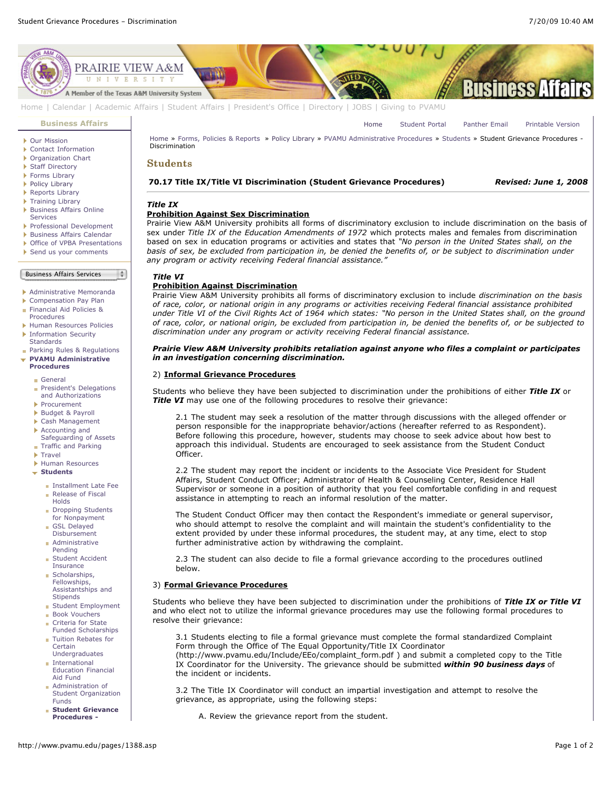

[Home](http://www.pvamu.edu/pages/1.asp) | [Calendar](http://www.pvamu.edu/pages/222.asp) | [Academic Affairs](http://www.pvamu.edu/pages/116.asp) | [Student Affairs](http://www.pvamu.edu/pages/1441.asp) | [President's Office](http://www.pvamu.edu/pages/117.asp) | [Directory](http://www.pvamu.edu/pages/225.asp) | [JOBS](http://www.pvamu.edu/pages/118.asp) | [Giving to PVAMU](http://www.pvamu.edu/giving)

#### **[Business Affairs](http://www.pvamu.edu/pages/102.asp)**

- [Our Mission](http://www.pvamu.edu/pages/3012.asp)
- [Contact Information](http://www.pvamu.edu/pages/527.asp)
- ▶ [Organization Chart](http://www.pvamu.edu/pages/528.asp)
- ▶ [Staff Directory](http://www.pvamu.edu/pages/529.asp)
- ▶ [Forms Library](http://www.pvamu.edu/pages/531.asp)
- [Policy Library](http://www.pvamu.edu/pages/532.asp)
- ▶ [Reports Library](http://www.pvamu.edu/pages/533.asp)
- ▶ [Training Library](http://www.pvamu.edu/pages/4512.asp)
- **[Business Affairs Online](http://www.pvamu.edu/pages/5583.asp)** Services
- [Professional Development](http://www.pvamu.edu/pages/4966.asp)
- [Business Affairs Calendar](http://www.pvamu.edu/pages/534.asp)
- ▶ [Office of VPBA Presentations](http://www.pvamu.edu/pages/2940.asp)
- [Send us your comments](http://www.pvamu.edu/pages/535.asp)
- Business Affairs Services

- [Administrative Memoranda](http://www.pvamu.edu/pages/1230.asp)
- [Compensation Pay Plan](http://www.pvamu.edu/pages/2078.asp)
- [Financial Aid Policies &](http://www.pvamu.edu/pages/2636.asp)
- Procedures
- [Human Resources Policies](http://www.pvamu.edu/pages/679.asp) **[Information Security](http://www.pvamu.edu/pages/2492.asp)**
- **Standards [Parking Rules & Regulations](http://www.pvamu.edu/pages/1233.asp)**
- **[PVAMU Administrative](http://www.pvamu.edu/pages/1234.asp) Procedures**
	- [General](http://www.pvamu.edu/pages/1235.asp)
	- [President's Delegations](http://www.pvamu.edu/pages/1236.asp) and Authorizations
	- [Procurement](http://www.pvamu.edu/pages/1239.asp)
	- [Budget & Payroll](http://www.pvamu.edu/pages/1251.asp)
	- [Cash Management](http://www.pvamu.edu/pages/1328.asp)
	-
	- Accounting and [Safeguarding of Assets](http://www.pvamu.edu/pages/1335.asp) **[Traffic and Parking](http://www.pvamu.edu/pages/1348.asp)**
	-
	- **[Travel](http://www.pvamu.edu/pages/1350.asp)**
	- [Human Resources](http://www.pvamu.edu/pages/1358.asp)
	- **[Students](http://www.pvamu.edu/pages/1374.asp)**
		- **[Installment Late Fee](http://www.pvamu.edu/pages/1375.asp)**
		- [Release of Fiscal](http://www.pvamu.edu/pages/1376.asp) Holds
		- [Dropping Students](http://www.pvamu.edu/pages/1377.asp) for Nonpayment
		- GSL Delayed [Disbursement](http://www.pvamu.edu/pages/1378.asp)
		- [Administrative](http://www.pvamu.edu/pages/1379.asp) Ì.
		- Pending [Student Accident](http://www.pvamu.edu/pages/1380.asp)
		- Insurance Scholarships,
		- Fellowships, [Assistantships and](http://www.pvamu.edu/pages/1381.asp) **Stinends**
		- [Student Employment](http://www.pvamu.edu/pages/1382.asp)
		- **[Book Vouchers](http://www.pvamu.edu/pages/1383.asp)**
		- Criteria for State ř.
		- [Funded Scholarships](http://www.pvamu.edu/pages/1384.asp) [Tuition Rebates for](http://www.pvamu.edu/pages/1385.asp) è **Certain**
		- Undergraduates International [Education Financial](http://www.pvamu.edu/pages/1386.asp) Aid Fund
		- Administration of [Student Organization](http://www.pvamu.edu/pages/1387.asp) Funds
		- **[Student Grievance](http://www.pvamu.edu/pages/1388.asp) Procedures -**

[Home](http://www.pvamu.edu/pages/1.asp) » [Forms, Policies & Reports](http://www.pvamu.edu/pages/5302.asp) » [Policy Library](http://www.pvamu.edu/pages/532.asp) » [PVAMU Administrative Procedures](http://www.pvamu.edu/pages/1234.asp) » [Students](http://www.pvamu.edu/pages/1374.asp) » Student Grievance Procedures -Discrimination

## **Students**

#### **70.17 Title IX/Title VI Discrimination (Student Grievance Procedures)** *Revised: June 1, 2008*

[Home](http://www.pvamu.edu/pages/1.asp) [Student Portal](http://panthertracks.pvamu.edu/) [Panther Email](http://www.pvamu.edu/pages/1740.asp) [Printable Version](http://www.pvamu.edu/print/1388.asp)

# *Title IX*

#### **Prohibition Against Sex Discrimination**

Prairie View A&M University prohibits all forms of discriminatory exclusion to include discrimination on the basis of sex under *Title IX of the Education Amendments of 1972* which protects males and females from discrimination based on sex in education programs or activities and states that *"No person in the United States shall, on the basis of sex, be excluded from participation in, be denied the benefits of, or be subject to discrimination under any program or activity receiving Federal financial assistance."*

#### *Title VI*

 $\frac{1}{2}$ 

#### **Prohibition Against Discrimination**

Prairie View A&M University prohibits all forms of discriminatory exclusion to include *discrimination on the basis of race, color, or national origin in any programs or activities receiving Federal financial assistance prohibited under Title VI of the Civil Rights Act of 1964 which states: "No person in the United States shall, on the ground of race, color, or national origin, be excluded from participation in, be denied the benefits of, or be subjected to discrimination under any program or activity receiving Federal financial assistance.*

#### *Prairie View A&M University prohibits retaliation against anyone who files a complaint or participates in an investigation concerning discrimination.*

#### 2) **Informal Grievance Procedures**

Students who believe they have been subjected to discrimination under the prohibitions of either *Title IX* or **Title VI** may use one of the following procedures to resolve their grievance:

2.1 The student may seek a resolution of the matter through discussions with the alleged offender or person responsible for the inappropriate behavior/actions (hereafter referred to as Respondent). Before following this procedure, however, students may choose to seek advice about how best to approach this individual. Students are encouraged to seek assistance from the Student Conduct Officer.

2.2 The student may report the incident or incidents to the Associate Vice President for Student Affairs, Student Conduct Officer; Administrator of Health & Counseling Center, Residence Hall Supervisor or someone in a position of authority that you feel comfortable confiding in and request assistance in attempting to reach an informal resolution of the matter.

The Student Conduct Officer may then contact the Respondent's immediate or general supervisor, who should attempt to resolve the complaint and will maintain the student's confidentiality to the extent provided by under these informal procedures, the student may, at any time, elect to stop further administrative action by withdrawing the complaint.

2.3 The student can also decide to file a formal grievance according to the procedures outlined below.

#### 3) **Formal Grievance Procedures**

the incident or incidents.

Students who believe they have been subjected to discrimination under the prohibitions of *Title IX or Title VI* and who elect not to utilize the informal grievance procedures may use the following formal procedures to resolve their grievance:

3.1 Students electing to file a formal grievance must complete the formal standardized Complaint Form through the Office of The Equal Opportunity/Title IX Coordinator (http://www.pvamu.edu/Include/EEo/complaint\_form.pdf ) and submit a completed copy to the Title IX Coordinator for the University. The grievance should be submitted *within 90 business days* of

3.2 The Title IX Coordinator will conduct an impartial investigation and attempt to resolve the grievance, as appropriate, using the following steps:

A. Review the grievance report from the student.